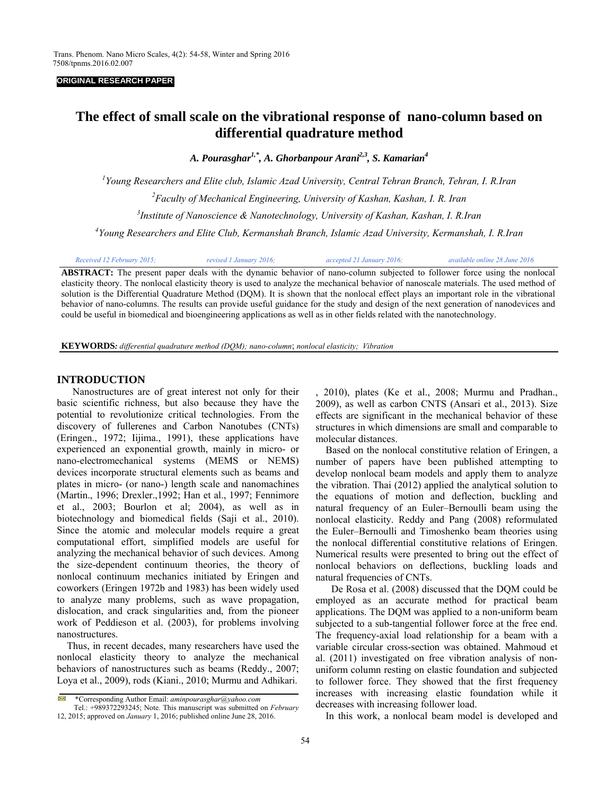#### **ORIGINAL RESEARCH PAPER**

# **The effect of small scale on the vibrational response of nano-column based on differential quadrature method**

*A. Pourasghar1,\*, A. Ghorbanpour Arani2,3, S. Kamarian4* 

*1 Young Researchers and Elite club, Islamic Azad University, Central Tehran Branch, Tehran, I. R.Iran 2 Faculty of Mechanical Engineering, University of Kashan, Kashan, I. R. Iran 3 Institute of Nanoscience & Nanotechnology, University of Kashan, Kashan, I. R.Iran* 

*4 Young Researchers and Elite Club, Kermanshah Branch, Islamic Azad University, Kermanshah, I. R.Iran* 

|  | Received 12 February 2015; | revised 1 January 2016; | accepted 21 January 2016; | available online 28 June 2016 |
|--|----------------------------|-------------------------|---------------------------|-------------------------------|
|--|----------------------------|-------------------------|---------------------------|-------------------------------|

**ABSTRACT:** The present paper deals with the dynamic behavior of nano-column subjected to follower force using the nonlocal elasticity theory. The nonlocal elasticity theory is used to analyze the mechanical behavior of nanoscale materials. The used method of solution is the Differential Quadrature Method (DQM). It is shown that the nonlocal effect plays an important role in the vibrational behavior of nano-columns. The results can provide useful guidance for the study and design of the next generation of nanodevices and could be useful in biomedical and bioengineering applications as well as in other fields related with the nanotechnology.

**KEYWORDS***: differential quadrature method (DQM); nano-column*; *nonlocal elasticity; Vibration* 

#### **INTRODUCTION**

Nanostructures are of great interest not only for their basic scientific richness, but also because they have the potential to revolutionize critical technologies. From the discovery of fullerenes and Carbon Nanotubes (CNTs) (Eringen., 1972; Iijima., 1991), these applications have experienced an exponential growth, mainly in micro- or nano-electromechanical systems (MEMS or NEMS) devices incorporate structural elements such as beams and plates in micro- (or nano-) length scale and nanomachines (Martin., 1996; Drexler.,1992; Han et al., 1997; Fennimore et al., 2003; Bourlon et al; 2004), as well as in biotechnology and biomedical fields (Saji et al., 2010). Since the atomic and molecular models require a great computational effort, simplified models are useful for analyzing the mechanical behavior of such devices. Among the size-dependent continuum theories, the theory of nonlocal continuum mechanics initiated by Eringen and coworkers (Eringen 1972b and 1983) has been widely used to analyze many problems, such as wave propagation, dislocation, and crack singularities and, from the pioneer work of Peddieson et al. (2003), for problems involving nanostructures.

 Thus, in recent decades, many researchers have used the nonlocal elasticity theory to analyze the mechanical behaviors of nanostructures such as beams (Reddy., 2007; Loya et al., 2009), rods (Kiani., 2010; Murmu and Adhikari.

, 2010), plates (Ke et al., 2008; Murmu and Pradhan., 2009), as well as carbon CNTS (Ansari et al., 2013). Size effects are significant in the mechanical behavior of these structures in which dimensions are small and comparable to molecular distances.

 Based on the nonlocal constitutive relation of Eringen, a number of papers have been published attempting to develop nonlocal beam models and apply them to analyze the vibration. Thai (2012) applied the analytical solution to the equations of motion and deflection, buckling and natural frequency of an Euler–Bernoulli beam using the nonlocal elasticity. Reddy and Pang (2008) reformulated the Euler–Bernoulli and Timoshenko beam theories using the nonlocal differential constitutive relations of Eringen. Numerical results were presented to bring out the effect of nonlocal behaviors on deflections, buckling loads and natural frequencies of CNTs.

De Rosa et al. (2008) discussed that the DQM could be employed as an accurate method for practical beam applications. The DQM was applied to a non-uniform beam subjected to a sub-tangential follower force at the free end. The frequency-axial load relationship for a beam with a variable circular cross-section was obtained. Mahmoud et al. (2011) investigated on free vibration analysis of nonuniform column resting on elastic foundation and subjected to follower force. They showed that the first frequency increases with increasing elastic foundation while it decreases with increasing follower load.

In this work, a nonlocal beam model is developed and

<sup>\*</sup>Corresponding Author Email: *aminpourasghar@yahoo.com*   $\scriptstyle\sim$ 

Tel.: +989372293245; Note. This manuscript was submitted on *February* 12, 2015; approved on *January* 1, 2016; published online June 28, 2016.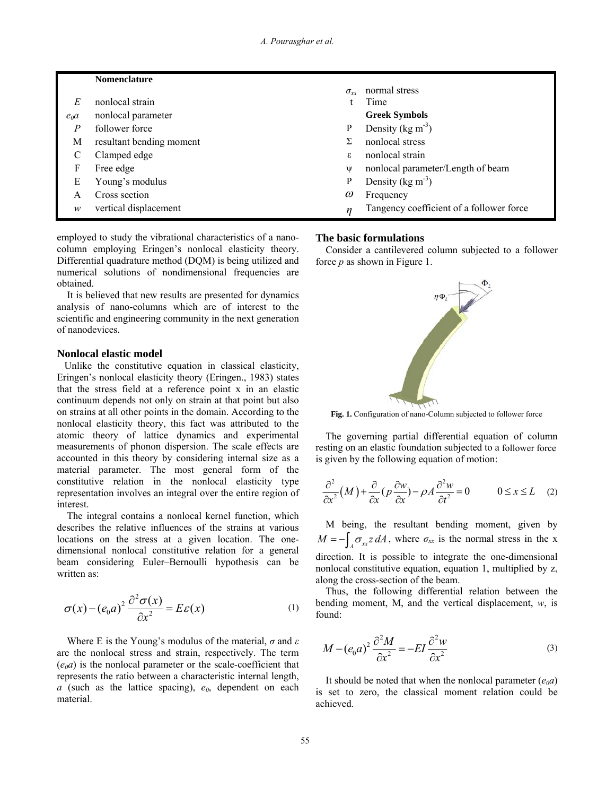|        | <b>Nomenclature</b>      |               |                                          |
|--------|--------------------------|---------------|------------------------------------------|
|        |                          | $\sigma_{rr}$ | normal stress                            |
| E      | nonlocal strain          |               | Time                                     |
| $e_0a$ | nonlocal parameter       |               | <b>Greek Symbols</b>                     |
| Р      | follower force           | P             | Density ( $kg \text{ m}^{-3}$ )          |
| М      | resultant bending moment |               | nonlocal stress                          |
|        | Clamped edge             | ε             | nonlocal strain                          |
| F      | Free edge                | W             | nonlocal parameter/Length of beam        |
| Е      | Young's modulus          | P             | Density ( $\text{kg m}^{-3}$ )           |
| A      | Cross section            | $\omega$      | Frequency                                |
| w      | vertical displacement    | $\eta$        | Tangency coefficient of a follower force |

employed to study the vibrational characteristics of a nanocolumn employing Eringen's nonlocal elasticity theory. Differential quadrature method (DQM) is being utilized and numerical solutions of nondimensional frequencies are obtained.

 It is believed that new results are presented for dynamics analysis of nano-columns which are of interest to the scientific and engineering community in the next generation of nanodevices.

## **Nonlocal elastic model**

Unlike the constitutive equation in classical elasticity, Eringen's nonlocal elasticity theory (Eringen., 1983) states that the stress field at a reference point x in an elastic continuum depends not only on strain at that point but also on strains at all other points in the domain. According to the nonlocal elasticity theory, this fact was attributed to the atomic theory of lattice dynamics and experimental measurements of phonon dispersion. The scale effects are accounted in this theory by considering internal size as a material parameter. The most general form of the constitutive relation in the nonlocal elasticity type representation involves an integral over the entire region of interest.

 The integral contains a nonlocal kernel function, which describes the relative influences of the strains at various locations on the stress at a given location. The onedimensional nonlocal constitutive relation for a general beam considering Euler–Bernoulli hypothesis can be written as:

$$
\sigma(x) - (e_0 a)^2 \frac{\partial^2 \sigma(x)}{\partial x^2} = E \varepsilon(x)
$$
 (1)

 Where E is the Young's modulus of the material, *σ* and *ε* are the nonlocal stress and strain, respectively. The term  $(e_0a)$  is the nonlocal parameter or the scale-coefficient that represents the ratio between a characteristic internal length,  $a$  (such as the lattice spacing),  $e_0$ , dependent on each material.

#### **The basic formulations**

 Consider a cantilevered column subjected to a follower force *p* as shown in Figure 1.



Fig. 1. Configuration of nano-Column subjected to follower force

 The governing partial differential equation of column resting on an elastic foundation subjected to a follower force is given by the following equation of motion:

$$
\frac{\partial^2}{\partial x^2} (M) + \frac{\partial}{\partial x} (p \frac{\partial w}{\partial x}) - \rho A \frac{\partial^2 w}{\partial t^2} = 0 \qquad 0 \le x \le L \quad (2)
$$

 M being, the resultant bending moment, given by  $M = -\int_{A} \sigma_{xx} z dA$ , where  $\sigma_{xx}$  is the normal stress in the x direction. It is possible to integrate the one-dimensional nonlocal constitutive equation, equation 1, multiplied by z, along the cross-section of the beam.

 Thus, the following differential relation between the bending moment, M, and the vertical displacement, *w*, is found:

$$
M - (e_0 a)^2 \frac{\partial^2 M}{\partial x^2} = -EI \frac{\partial^2 w}{\partial x^2}
$$
 (3)

It should be noted that when the nonlocal parameter  $(e_0a)$ is set to zero, the classical moment relation could be achieved.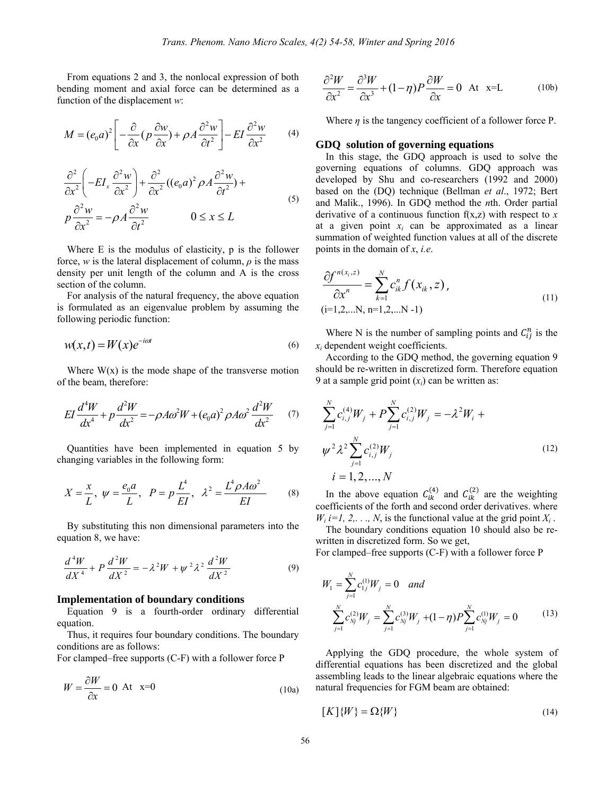From equations 2 and 3, the nonlocal expression of both bending moment and axial force can be determined as a function of the displacement *w*:

$$
M = (e_0 a)^2 \left[ -\frac{\partial}{\partial x} (p \frac{\partial w}{\partial x}) + \rho A \frac{\partial^2 w}{\partial t^2} \right] - EI \frac{\partial^2 w}{\partial x^2}
$$
 (4)

$$
\frac{\partial^2}{\partial x^2} \left( -EI_x \frac{\partial^2 w}{\partial x^2} \right) + \frac{\partial^2}{\partial x^2} \left( (e_0 a)^2 \rho A \frac{\partial^2 w}{\partial t^2} \right) +
$$
  
\n
$$
p \frac{\partial^2 w}{\partial x^2} = -\rho A \frac{\partial^2 w}{\partial t^2} \qquad 0 \le x \le L
$$
 (5)

 Where E is the modulus of elasticity, p is the follower force, *w* is the lateral displacement of column,  $\rho$  is the mass density per unit length of the column and A is the cross section of the column.

 For analysis of the natural frequency, the above equation is formulated as an eigenvalue problem by assuming the following periodic function:

$$
w(x,t) = W(x)e^{-i\omega t}
$$
\n(6)

Where  $W(x)$  is the mode shape of the transverse motion of the beam, therefore:

$$
EI\frac{d^4W}{dx^4} + p\frac{d^2W}{dx^2} = -\rho A\omega^2 W + (e_0 a)^2 \rho A\omega^2 \frac{d^2W}{dx^2} \tag{7}
$$

 Quantities have been implemented in equation 5 by changing variables in the following form:

$$
X = \frac{x}{L}, \ \psi = \frac{e_0 a}{L}, \ \ P = p \frac{L^4}{EI}, \ \ \lambda^2 = \frac{L^4 \rho A \omega^2}{EI}
$$
 (8)

 By substituting this non dimensional parameters into the equation 8, we have:

$$
\frac{d^4W}{dX^4} + P\frac{d^2W}{dX^2} = -\lambda^2W + \psi^2\lambda^2\frac{d^2W}{dX^2}
$$
(9)

#### **Implementation of boundary conditions**

 Equation 9 is a fourth-order ordinary differential equation.

 Thus, it requires four boundary conditions. The boundary conditions are as follows:

For clamped–free supports (C-F) with a follower force P

$$
W = \frac{\partial W}{\partial x} = 0 \text{ At } x=0
$$
 (10a)

$$
\frac{\partial^2 W}{\partial x^2} = \frac{\partial^3 W}{\partial x^3} + (1 - \eta)P \frac{\partial W}{\partial x} = 0 \quad \text{At} \quad x = L \tag{10b}
$$

Where  $\eta$  is the tangency coefficient of a follower force P.

### **GDQ solution of governing equations**

 In this stage, the GDQ approach is used to solve the governing equations of columns. GDQ approach was developed by Shu and co-researchers (1992 and 2000) based on the (DQ) technique (Bellman *et al*., 1972; Bert and Malik., 1996). In GDQ method the *n*th. Order partial derivative of a continuous function f(x,z) with respect to *x* at a given point  $x_i$  can be approximated as a linear summation of weighted function values at all of the discrete points in the domain of *x*, *i.e*.

$$
\frac{\partial f^{n(x_i,z)}}{\partial x^n} = \sum_{k=1}^N c_{ik}^n f(x_{ik}, z),
$$
\n
$$
(i=1,2,...N, n=1,2,...N-1)
$$
\n(11)

Where N is the number of sampling points and  $C_{ij}^n$  is the *xi* dependent weight coefficients.

 According to the GDQ method, the governing equation 9 should be re-written in discretized form. Therefore equation 9 at a sample grid point  $(x_i)$  can be written as:

$$
\sum_{j=1}^{N} c_{i,j}^{(4)} W_j + P \sum_{j=1}^{N} c_{i,j}^{(2)} W_j = -\lambda^2 W_i +
$$
  

$$
\psi^2 \lambda^2 \sum_{j=1}^{N} c_{i,j}^{(2)} W_j
$$
  

$$
i = 1, 2, ..., N
$$
 (12)

In the above equation  $C_{ik}^{(4)}$  and  $C_{ik}^{(2)}$  are the weighting coefficients of the forth and second order derivatives. where  $W_i$  *i*=1, 2, ..., *N*, is the functional value at the grid point  $X_i$ .

 The boundary conditions equation 10 should also be rewritten in discretized form. So we get,

For clamped–free supports (C-F) with a follower force P

$$
W_1 = \sum_{j=1}^{N} c_{1j}^{(1)} W_j = 0 \quad and
$$
  

$$
\sum_{j=1}^{N} c_{Nj}^{(2)} W_j = \sum_{j=1}^{N} c_{Nj}^{(3)} W_j + (1 - \eta) P \sum_{j=1}^{N} c_{Nj}^{(1)} W_j = 0
$$
 (13)

 Applying the GDQ procedure, the whole system of differential equations has been discretized and the global assembling leads to the linear algebraic equations where the natural frequencies for FGM beam are obtained:

$$
[K]\{W\} = \Omega\{W\} \tag{14}
$$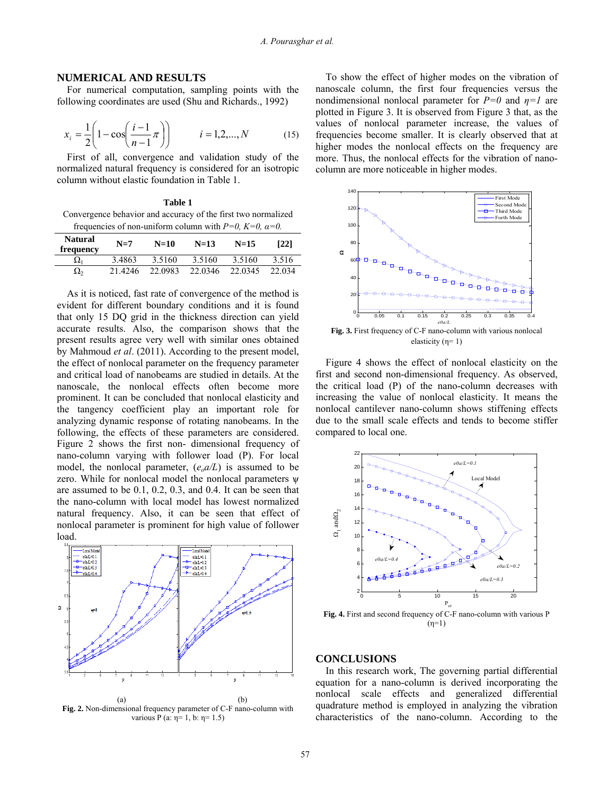# **NUMERICAL AND RESULTS**

 For numerical computation, sampling points with the following coordinates are used (Shu and Richards., 1992)

$$
x_{i} = \frac{1}{2} \left( 1 - \cos \left( \frac{i - 1}{n - 1} \pi \right) \right) \qquad i = 1, 2, ..., N \qquad (15)
$$

 First of all, convergence and validation study of the normalized natural frequency is considered for an isotropic column without elastic foundation in Table 1.

**Table 1**  Convergence behavior and accuracy of the first two normalized frequencies of non-uniform column with  $P=0$ ,  $K=0$ ,  $\alpha=0$ .

|                             | $\mathbf{r}$ |         |         |         |        |
|-----------------------------|--------------|---------|---------|---------|--------|
| <b>Natural</b><br>frequency | $N=7$        | $N=10$  | $N=13$  | $N=15$  | [22]   |
| $\Omega_1$                  | 3.4863       | 3.5160  | 3.5160  | 3.5160  | 3.516  |
| $\Omega_{2}$                | 21 42.46     | 22.0983 | 22.0346 | 22.0345 | 22.034 |

 As it is noticed, fast rate of convergence of the method is evident for different boundary conditions and it is found that only 15 DQ grid in the thickness direction can yield accurate results. Also, the comparison shows that the present results agree very well with similar ones obtained by Mahmoud *et al*. (2011). According to the present model, the effect of nonlocal parameter on the frequency parameter and critical load of nanobeams are studied in details. At the nanoscale, the nonlocal effects often become more prominent. It can be concluded that nonlocal elasticity and the tangency coefficient play an important role for analyzing dynamic response of rotating nanobeams. In the following, the effects of these parameters are considered. Figure 2 shows the first non- dimensional frequency of nano-column varying with follower load (P). For local model, the nonlocal parameter,  $(e_0 a/L)$  is assumed to be zero. While for nonlocal model the nonlocal parameters ѱ are assumed to be 0.1, 0.2, 0.3, and 0.4. It can be seen that the nano-column with local model has lowest normalized natural frequency. Also, it can be seen that effect of nonlocal parameter is prominent for high value of follower load.



**Fig. 2.** Non-dimensional frequency parameter of C-F nano-column with various P (a: η= 1, b: η= 1.5)

 To show the effect of higher modes on the vibration of nanoscale column, the first four frequencies versus the nondimensional nonlocal parameter for *P=0* and *η=1* are plotted in Figure 3. It is observed from Figure 3 that, as the values of nonlocal parameter increase, the values of frequencies become smaller. It is clearly observed that at higher modes the nonlocal effects on the frequency are more. Thus, the nonlocal effects for the vibration of nanocolumn are more noticeable in higher modes.



 Figure 4 shows the effect of nonlocal elasticity on the first and second non-dimensional frequency. As observed, the critical load (P) of the nano-column decreases with increasing the value of nonlocal elasticity. It means the nonlocal cantilever nano-column shows stiffening effects due to the small scale effects and tends to become stiffer compared to local one.



#### **CONCLUSIONS**

 In this research work, The governing partial differential equation for a nano-column is derived incorporating the nonlocal scale effects and generalized differential quadrature method is employed in analyzing the vibration characteristics of the nano-column. According to the